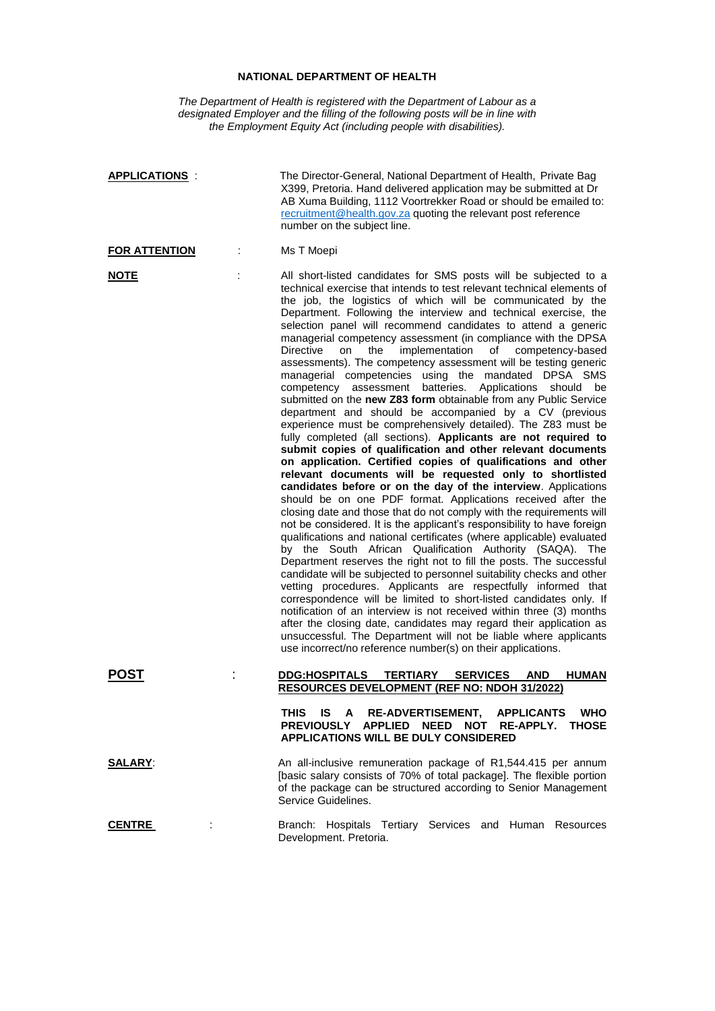## **NATIONAL DEPARTMENT OF HEALTH**

*The Department of Health is registered with the Department of Labour as a designated Employer and the filling of the following posts will be in line with the Employment Equity Act (including people with disabilities).*

| <b>APPLICATIONS:</b> | The Director-General, National Department of Health, Private Bag<br>X399, Pretoria. Hand delivered application may be submitted at Dr<br>AB Xuma Building, 1112 Voortrekker Road or should be emailed to:<br>recruitment@health.gov.za quoting the relevant post reference<br>number on the subject line.                                                                                                                                                                                                                                                                                                                                                                                                                                                                                                                                                                                                                                                                                                                                                                                                                                                                                                                                                                                                                                                                                                                                                                                                                                                                                                                                                                                                                                                                                                                                                                                                                                                                                                                                                                                                                                            |
|----------------------|------------------------------------------------------------------------------------------------------------------------------------------------------------------------------------------------------------------------------------------------------------------------------------------------------------------------------------------------------------------------------------------------------------------------------------------------------------------------------------------------------------------------------------------------------------------------------------------------------------------------------------------------------------------------------------------------------------------------------------------------------------------------------------------------------------------------------------------------------------------------------------------------------------------------------------------------------------------------------------------------------------------------------------------------------------------------------------------------------------------------------------------------------------------------------------------------------------------------------------------------------------------------------------------------------------------------------------------------------------------------------------------------------------------------------------------------------------------------------------------------------------------------------------------------------------------------------------------------------------------------------------------------------------------------------------------------------------------------------------------------------------------------------------------------------------------------------------------------------------------------------------------------------------------------------------------------------------------------------------------------------------------------------------------------------------------------------------------------------------------------------------------------------|
| <b>FOR ATTENTION</b> | Ms T Moepi                                                                                                                                                                                                                                                                                                                                                                                                                                                                                                                                                                                                                                                                                                                                                                                                                                                                                                                                                                                                                                                                                                                                                                                                                                                                                                                                                                                                                                                                                                                                                                                                                                                                                                                                                                                                                                                                                                                                                                                                                                                                                                                                           |
| <b>NOTE</b>          | All short-listed candidates for SMS posts will be subjected to a<br>technical exercise that intends to test relevant technical elements of<br>the job, the logistics of which will be communicated by the<br>Department. Following the interview and technical exercise, the<br>selection panel will recommend candidates to attend a generic<br>managerial competency assessment (in compliance with the DPSA<br>implementation<br><b>Directive</b><br>on<br>the<br>of competency-based<br>assessments). The competency assessment will be testing generic<br>managerial competencies using the mandated DPSA SMS<br>batteries.<br>Applications<br>competency assessment<br>should be<br>submitted on the new Z83 form obtainable from any Public Service<br>department and should be accompanied by a CV (previous<br>experience must be comprehensively detailed). The Z83 must be<br>fully completed (all sections). Applicants are not required to<br>submit copies of qualification and other relevant documents<br>on application. Certified copies of qualifications and other<br>relevant documents will be requested only to shortlisted<br>candidates before or on the day of the interview. Applications<br>should be on one PDF format. Applications received after the<br>closing date and those that do not comply with the requirements will<br>not be considered. It is the applicant's responsibility to have foreign<br>qualifications and national certificates (where applicable) evaluated<br>by the South African Qualification Authority (SAQA). The<br>Department reserves the right not to fill the posts. The successful<br>candidate will be subjected to personnel suitability checks and other<br>vetting procedures. Applicants are respectfully informed that<br>correspondence will be limited to short-listed candidates only. If<br>notification of an interview is not received within three (3) months<br>after the closing date, candidates may regard their application as<br>unsuccessful. The Department will not be liable where applicants<br>use incorrect/no reference number(s) on their applications. |
| <b>POST</b>          | <b>DDG:HOSPITALS</b><br><b>SERVICES</b><br><b>HUMAN</b><br><b>TERTIARY</b><br><b>AND</b><br><b>RESOURCES DEVELOPMENT (REF NO: NDOH 31/2022)</b>                                                                                                                                                                                                                                                                                                                                                                                                                                                                                                                                                                                                                                                                                                                                                                                                                                                                                                                                                                                                                                                                                                                                                                                                                                                                                                                                                                                                                                                                                                                                                                                                                                                                                                                                                                                                                                                                                                                                                                                                      |
|                      | <b>IS</b><br>$\mathsf{A}$<br><b>RE-ADVERTISEMENT,</b><br><b>APPLICANTS</b><br>THIS<br>WHO<br>PREVIOUSLY APPLIED<br><b>NEED</b><br>NOT<br><b>RE-APPLY.</b><br><b>THOSE</b><br><b>APPLICATIONS WILL BE DULY CONSIDERED</b>                                                                                                                                                                                                                                                                                                                                                                                                                                                                                                                                                                                                                                                                                                                                                                                                                                                                                                                                                                                                                                                                                                                                                                                                                                                                                                                                                                                                                                                                                                                                                                                                                                                                                                                                                                                                                                                                                                                             |
| <b>SALARY:</b>       | An all-inclusive remuneration package of R1,544.415 per annum<br>[basic salary consists of 70% of total package]. The flexible portion<br>of the package can be structured according to Senior Management<br>Service Guidelines.                                                                                                                                                                                                                                                                                                                                                                                                                                                                                                                                                                                                                                                                                                                                                                                                                                                                                                                                                                                                                                                                                                                                                                                                                                                                                                                                                                                                                                                                                                                                                                                                                                                                                                                                                                                                                                                                                                                     |
| <b>CENTRE</b>        | Branch: Hospitals Tertiary Services and Human Resources<br>Development. Pretoria.                                                                                                                                                                                                                                                                                                                                                                                                                                                                                                                                                                                                                                                                                                                                                                                                                                                                                                                                                                                                                                                                                                                                                                                                                                                                                                                                                                                                                                                                                                                                                                                                                                                                                                                                                                                                                                                                                                                                                                                                                                                                    |